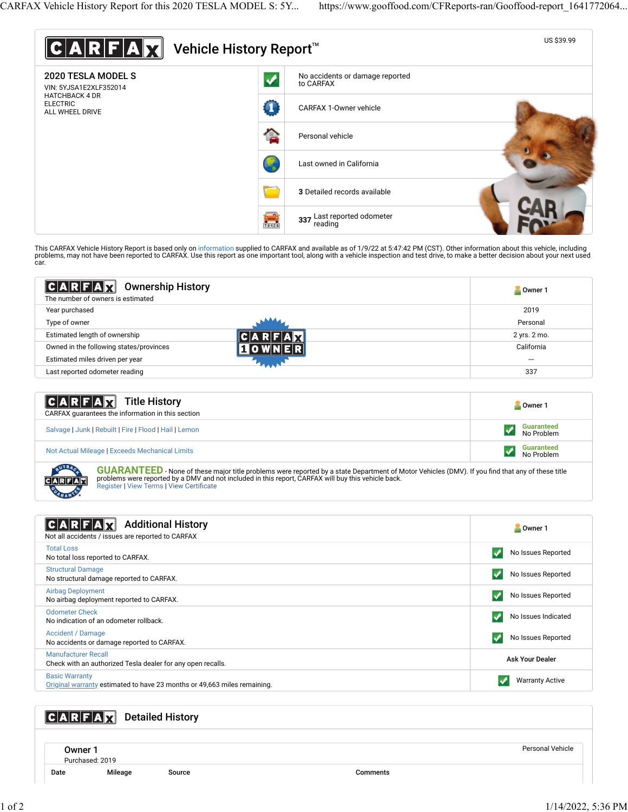

This CARFAX Vehicle History Report is based only on [information](http://www.carfax.com/company/vhr-data-sources) supplied to CARFAX and available as of 1/9/22 at 5:47:42 PM (CST). Other information about this vehicle, including<br>problems, may not have been reported to CAR car.

| $ C A R F A $ $\mathbf{Z}$<br><b>Ownership History</b><br>The number of owners is estimated | Owner 1      |
|---------------------------------------------------------------------------------------------|--------------|
| Year purchased                                                                              | 2019         |
| Type of owner                                                                               | Personal     |
| Estimated length of ownership                                                               | 2 yrs. 2 mo. |
| Owned in the following states/provinces                                                     | California   |
| Estimated miles driven per year                                                             | ---          |
| Last reported odometer reading                                                              | 337          |

| <b>CARFAX</b> Title History<br>CARFAX quarantees the information in this section | Owner 1                         |
|----------------------------------------------------------------------------------|---------------------------------|
| Salvage   Junk   Rebuilt   Fire   Flood   Hail   Lemon                           | <b>Guaranteed</b><br>No Problem |
| Not Actual Mileage   Exceeds Mechanical Limits                                   | <b>Guaranteed</b><br>No Problem |

**GUARANTEED** - None of these major title problems were reported by a state Department of Motor Vehicles (DMV). If you find that any of these title problems were reported by a DMV and not included in this report, CARFAX will buy this vehicle back.<br>[Register](https://www.carfax.com/Service/bbg) | [View Terms](http://www.carfaxonline.com/legal/bbgTerms) | [View Certi](https://www.gooffood.com/CFReports-ran/Gooffood-report_1641772064.html)ficate

| <b>Additional History</b><br>Not all accidents / issues are reported to CARFAX                    | Owner 1                 |
|---------------------------------------------------------------------------------------------------|-------------------------|
| <b>Total Loss</b><br>No total loss reported to CARFAX.                                            | No Issues Reported      |
| <b>Structural Damage</b><br>No structural damage reported to CARFAX.                              | No Issues Reported      |
| <b>Airbag Deployment</b><br>No airbag deployment reported to CARFAX.                              | No Issues Reported<br>v |
| <b>Odometer Check</b><br>No indication of an odometer rollback.                                   | No Issues Indicated     |
| Accident / Damage<br>No accidents or damage reported to CARFAX.                                   | No Issues Reported      |
| <b>Manufacturer Recall</b><br>Check with an authorized Tesla dealer for any open recalls.         | <b>Ask Your Dealer</b>  |
| <b>Basic Warranty</b><br>Original warranty estimated to have 23 months or 49,663 miles remaining. | <b>Warranty Active</b>  |

## **CARFAX** Detailed History

Owner 1 Purchased: 2019

Date Mileage Source Comments

Personal Vehicle